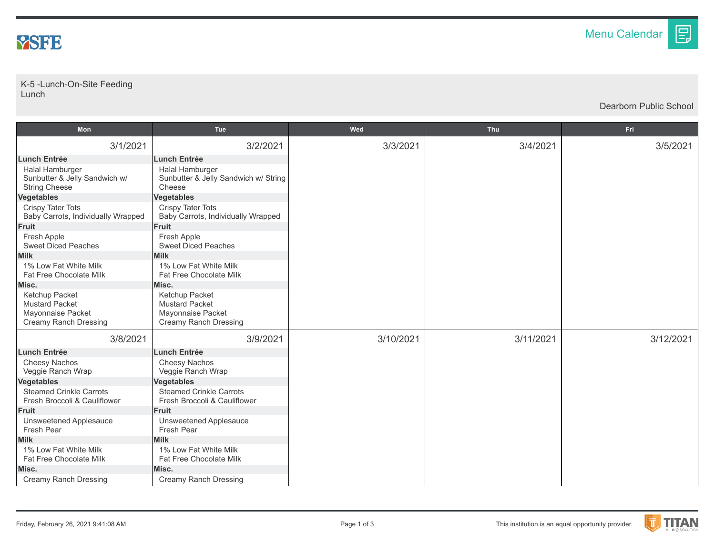

## K-5 -Lunch-On-Site Feeding Lunch

Dearborn Public School

目

| Mon                                                                                          | Tue                                                                                          | Wed       | <b>Thu</b> | <b>Fri</b> |
|----------------------------------------------------------------------------------------------|----------------------------------------------------------------------------------------------|-----------|------------|------------|
| 3/1/2021                                                                                     | 3/2/2021                                                                                     | 3/3/2021  | 3/4/2021   | 3/5/2021   |
| <b>Lunch Entrée</b>                                                                          | <b>Lunch Entrée</b>                                                                          |           |            |            |
| Halal Hamburger<br>Sunbutter & Jelly Sandwich w/<br><b>String Cheese</b>                     | Halal Hamburger<br>Sunbutter & Jelly Sandwich w/ String<br>Cheese                            |           |            |            |
| Vegetables                                                                                   | <b>Vegetables</b>                                                                            |           |            |            |
| <b>Crispy Tater Tots</b><br>Baby Carrots, Individually Wrapped                               | Crispy Tater Tots<br>Baby Carrots, Individually Wrapped                                      |           |            |            |
| <b>Fruit</b>                                                                                 | <b>Fruit</b>                                                                                 |           |            |            |
| Fresh Apple<br><b>Sweet Diced Peaches</b>                                                    | Fresh Apple<br><b>Sweet Diced Peaches</b>                                                    |           |            |            |
| <b>Milk</b>                                                                                  | <b>Milk</b>                                                                                  |           |            |            |
| 1% Low Fat White Milk<br>Fat Free Chocolate Milk                                             | 1% Low Fat White Milk<br><b>Fat Free Chocolate Milk</b>                                      |           |            |            |
| Misc.                                                                                        | Misc.                                                                                        |           |            |            |
| Ketchup Packet<br><b>Mustard Packet</b><br>Mayonnaise Packet<br><b>Creamy Ranch Dressing</b> | Ketchup Packet<br><b>Mustard Packet</b><br>Mayonnaise Packet<br><b>Creamy Ranch Dressing</b> |           |            |            |
| 3/8/2021                                                                                     | 3/9/2021                                                                                     | 3/10/2021 | 3/11/2021  | 3/12/2021  |
| <b>Lunch Entrée</b>                                                                          | <b>Lunch Entrée</b>                                                                          |           |            |            |
| Cheesy Nachos<br>Veggie Ranch Wrap                                                           | Cheesy Nachos<br>Veggie Ranch Wrap                                                           |           |            |            |
| <b>Vegetables</b>                                                                            | <b>Vegetables</b>                                                                            |           |            |            |
| <b>Steamed Crinkle Carrots</b><br>Fresh Broccoli & Cauliflower                               | <b>Steamed Crinkle Carrots</b><br>Fresh Broccoli & Cauliflower                               |           |            |            |
| <b>Fruit</b>                                                                                 | <b>Fruit</b>                                                                                 |           |            |            |
| <b>Unsweetened Applesauce</b><br>Fresh Pear                                                  | <b>Unsweetened Applesauce</b><br>Fresh Pear                                                  |           |            |            |
| <b>Milk</b>                                                                                  | <b>Milk</b>                                                                                  |           |            |            |
| 1% Low Fat White Milk<br>Fat Free Chocolate Milk                                             | 1% Low Fat White Milk<br>Fat Free Chocolate Milk                                             |           |            |            |
| Misc.                                                                                        | Misc.                                                                                        |           |            |            |
| <b>Creamy Ranch Dressing</b>                                                                 | <b>Creamy Ranch Dressing</b>                                                                 |           |            |            |

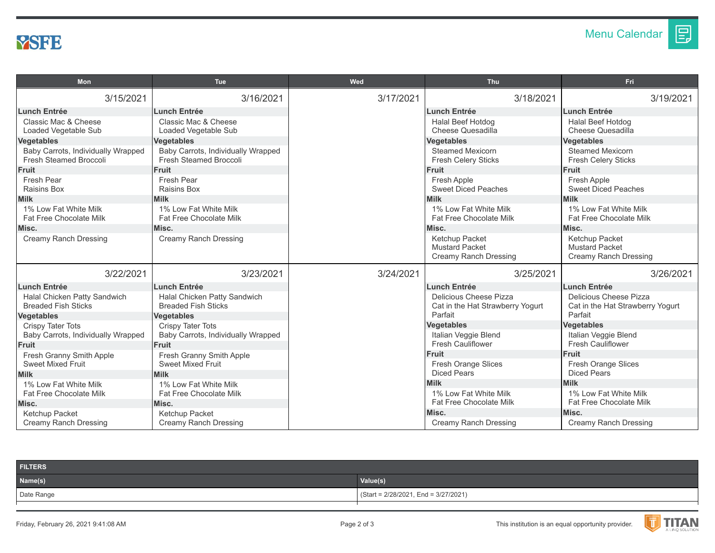

| Mon                                                          | <b>Tue</b>                                                   | Wed       | Thu                                                   | Fri                                                     |
|--------------------------------------------------------------|--------------------------------------------------------------|-----------|-------------------------------------------------------|---------------------------------------------------------|
| 3/15/2021                                                    | 3/16/2021                                                    | 3/17/2021 | 3/18/2021                                             | 3/19/2021                                               |
| <b>Lunch Entrée</b>                                          | <b>Lunch Entrée</b>                                          |           | <b>Lunch Entrée</b>                                   | <b>Lunch Entrée</b>                                     |
| Classic Mac & Cheese                                         | Classic Mac & Cheese                                         |           | Halal Beef Hotdog                                     | Halal Beef Hotdog                                       |
| Loaded Vegetable Sub                                         | Loaded Vegetable Sub                                         |           | Cheese Quesadilla                                     | Cheese Quesadilla                                       |
| Vegetables                                                   | <b>Vegetables</b>                                            |           | <b>Vegetables</b>                                     | <b>Vegetables</b>                                       |
| Baby Carrots, Individually Wrapped<br>Fresh Steamed Broccoli | Baby Carrots, Individually Wrapped<br>Fresh Steamed Broccoli |           | <b>Steamed Mexicorn</b><br><b>Fresh Celery Sticks</b> | <b>Steamed Mexicorn</b><br><b>Fresh Celery Sticks</b>   |
| <b>Fruit</b>                                                 | <b>Fruit</b>                                                 |           | <b>Fruit</b>                                          | <b>Fruit</b>                                            |
| Fresh Pear                                                   | Fresh Pear                                                   |           | Fresh Apple                                           | Fresh Apple                                             |
| <b>Raisins Box</b>                                           | <b>Raisins Box</b>                                           |           | <b>Sweet Diced Peaches</b>                            | <b>Sweet Diced Peaches</b>                              |
| <b>Milk</b>                                                  | <b>Milk</b>                                                  |           | <b>Milk</b>                                           | <b>Milk</b>                                             |
| 1% Low Fat White Milk                                        | 1% Low Fat White Milk                                        |           | 1% Low Fat White Milk                                 | 1% Low Fat White Milk                                   |
| Fat Free Chocolate Milk                                      | Fat Free Chocolate Milk                                      |           | Fat Free Chocolate Milk                               | Fat Free Chocolate Milk                                 |
| Misc.                                                        | Misc.                                                        |           | Misc.                                                 | Misc.                                                   |
| <b>Creamy Ranch Dressing</b>                                 | <b>Creamy Ranch Dressing</b>                                 |           | Ketchup Packet                                        | Ketchup Packet                                          |
|                                                              |                                                              |           | <b>Mustard Packet</b>                                 | <b>Mustard Packet</b>                                   |
|                                                              |                                                              |           | <b>Creamy Ranch Dressing</b>                          | Creamy Ranch Dressing                                   |
| 3/22/2021                                                    | 3/23/2021                                                    | 3/24/2021 | 3/25/2021                                             | 3/26/2021                                               |
| <b>Lunch Entrée</b>                                          | <b>Lunch Entrée</b>                                          |           | <b>Lunch Entrée</b>                                   | <b>Lunch Entrée</b>                                     |
| Halal Chicken Patty Sandwich                                 | Halal Chicken Patty Sandwich                                 |           | Delicious Cheese Pizza                                | Delicious Cheese Pizza                                  |
| <b>Breaded Fish Sticks</b>                                   | <b>Breaded Fish Sticks</b>                                   |           | Cat in the Hat Strawberry Yogurt                      | Cat in the Hat Strawberry Yogurt                        |
| <b>Vegetables</b>                                            | <b>Vegetables</b>                                            |           | Parfait                                               | Parfait                                                 |
| <b>Crispy Tater Tots</b>                                     | <b>Crispy Tater Tots</b>                                     |           | <b>Vegetables</b>                                     | <b>Vegetables</b>                                       |
| Baby Carrots, Individually Wrapped                           | Baby Carrots, Individually Wrapped                           |           | Italian Veggie Blend                                  | Italian Veggie Blend                                    |
| <b>Fruit</b>                                                 | Fruit                                                        |           | <b>Fresh Cauliflower</b>                              | <b>Fresh Cauliflower</b>                                |
| Fresh Granny Smith Apple                                     | Fresh Granny Smith Apple                                     |           | <b>Fruit</b>                                          | <b>Fruit</b>                                            |
| <b>Sweet Mixed Fruit</b>                                     | <b>Sweet Mixed Fruit</b>                                     |           | Fresh Orange Slices                                   | Fresh Orange Slices                                     |
| <b>Milk</b>                                                  | <b>Milk</b>                                                  |           | <b>Diced Pears</b>                                    | <b>Diced Pears</b>                                      |
| 1% Low Fat White Milk                                        | 1% Low Fat White Milk                                        |           | <b>Milk</b>                                           | <b>Milk</b>                                             |
| <b>Fat Free Chocolate Milk</b>                               | <b>Fat Free Chocolate Milk</b>                               |           | 1% Low Fat White Milk<br>Fat Free Chocolate Milk      | 1% Low Fat White Milk<br><b>Fat Free Chocolate Milk</b> |
| Misc.                                                        | Misc.                                                        |           |                                                       | Misc.                                                   |
| Ketchup Packet                                               | Ketchup Packet                                               |           | Misc.                                                 |                                                         |
| <b>Creamy Ranch Dressing</b>                                 | Creamy Ranch Dressing                                        |           | <b>Creamy Ranch Dressing</b>                          | Creamy Ranch Dressing                                   |

| <b>FILTERS</b> |                                        |
|----------------|----------------------------------------|
| Name(s)        | Value(s)                               |
| Date Range     | $(Start = 2/28/2021, End = 3/27/2021)$ |
|                |                                        |